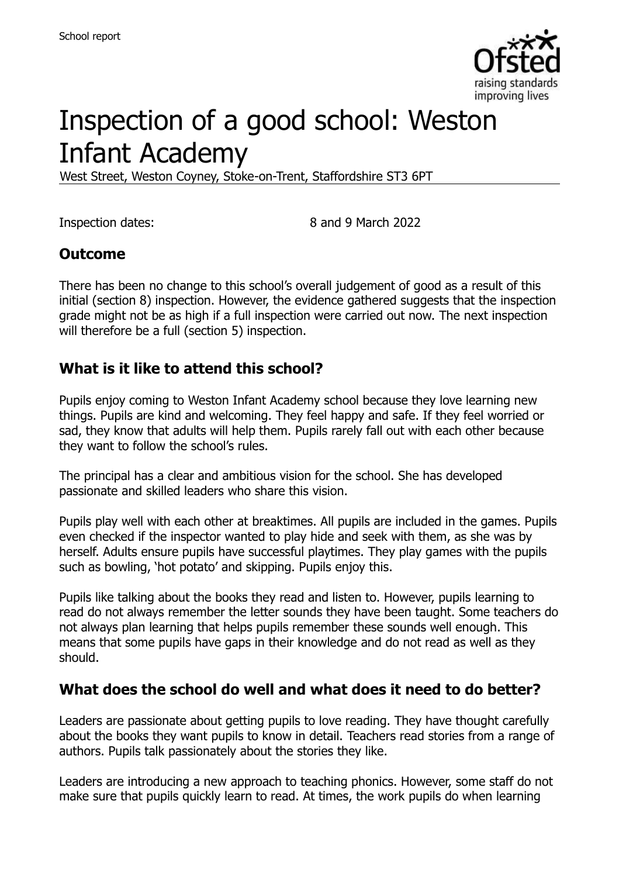

# Inspection of a good school: Weston Infant Academy

West Street, Weston Coyney, Stoke-on-Trent, Staffordshire ST3 6PT

Inspection dates: 8 and 9 March 2022

### **Outcome**

There has been no change to this school's overall judgement of good as a result of this initial (section 8) inspection. However, the evidence gathered suggests that the inspection grade might not be as high if a full inspection were carried out now. The next inspection will therefore be a full (section 5) inspection.

#### **What is it like to attend this school?**

Pupils enjoy coming to Weston Infant Academy school because they love learning new things. Pupils are kind and welcoming. They feel happy and safe. If they feel worried or sad, they know that adults will help them. Pupils rarely fall out with each other because they want to follow the school's rules.

The principal has a clear and ambitious vision for the school. She has developed passionate and skilled leaders who share this vision.

Pupils play well with each other at breaktimes. All pupils are included in the games. Pupils even checked if the inspector wanted to play hide and seek with them, as she was by herself. Adults ensure pupils have successful playtimes. They play games with the pupils such as bowling, 'hot potato' and skipping. Pupils enjoy this.

Pupils like talking about the books they read and listen to. However, pupils learning to read do not always remember the letter sounds they have been taught. Some teachers do not always plan learning that helps pupils remember these sounds well enough. This means that some pupils have gaps in their knowledge and do not read as well as they should.

### **What does the school do well and what does it need to do better?**

Leaders are passionate about getting pupils to love reading. They have thought carefully about the books they want pupils to know in detail. Teachers read stories from a range of authors. Pupils talk passionately about the stories they like.

Leaders are introducing a new approach to teaching phonics. However, some staff do not make sure that pupils quickly learn to read. At times, the work pupils do when learning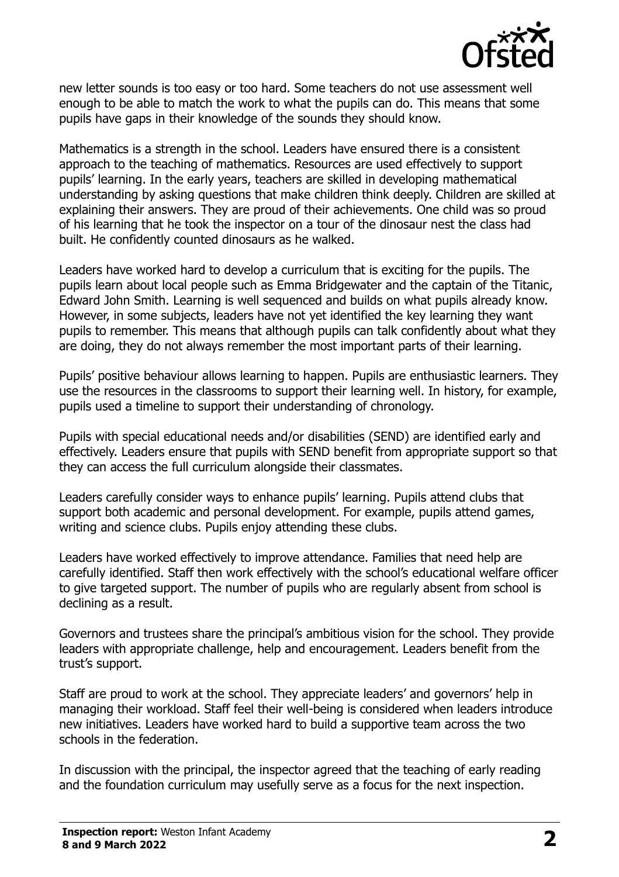

new letter sounds is too easy or too hard. Some teachers do not use assessment well enough to be able to match the work to what the pupils can do. This means that some pupils have gaps in their knowledge of the sounds they should know.

Mathematics is a strength in the school. Leaders have ensured there is a consistent approach to the teaching of mathematics. Resources are used effectively to support pupils' learning. In the early years, teachers are skilled in developing mathematical understanding by asking questions that make children think deeply. Children are skilled at explaining their answers. They are proud of their achievements. One child was so proud of his learning that he took the inspector on a tour of the dinosaur nest the class had built. He confidently counted dinosaurs as he walked.

Leaders have worked hard to develop a curriculum that is exciting for the pupils. The pupils learn about local people such as Emma Bridgewater and the captain of the Titanic, Edward John Smith. Learning is well sequenced and builds on what pupils already know. However, in some subjects, leaders have not yet identified the key learning they want pupils to remember. This means that although pupils can talk confidently about what they are doing, they do not always remember the most important parts of their learning.

Pupils' positive behaviour allows learning to happen. Pupils are enthusiastic learners. They use the resources in the classrooms to support their learning well. In history, for example, pupils used a timeline to support their understanding of chronology.

Pupils with special educational needs and/or disabilities (SEND) are identified early and effectively. Leaders ensure that pupils with SEND benefit from appropriate support so that they can access the full curriculum alongside their classmates.

Leaders carefully consider ways to enhance pupils' learning. Pupils attend clubs that support both academic and personal development. For example, pupils attend games, writing and science clubs. Pupils enjoy attending these clubs.

Leaders have worked effectively to improve attendance. Families that need help are carefully identified. Staff then work effectively with the school's educational welfare officer to give targeted support. The number of pupils who are regularly absent from school is declining as a result.

Governors and trustees share the principal's ambitious vision for the school. They provide leaders with appropriate challenge, help and encouragement. Leaders benefit from the trust's support.

Staff are proud to work at the school. They appreciate leaders' and governors' help in managing their workload. Staff feel their well-being is considered when leaders introduce new initiatives. Leaders have worked hard to build a supportive team across the two schools in the federation.

In discussion with the principal, the inspector agreed that the teaching of early reading and the foundation curriculum may usefully serve as a focus for the next inspection.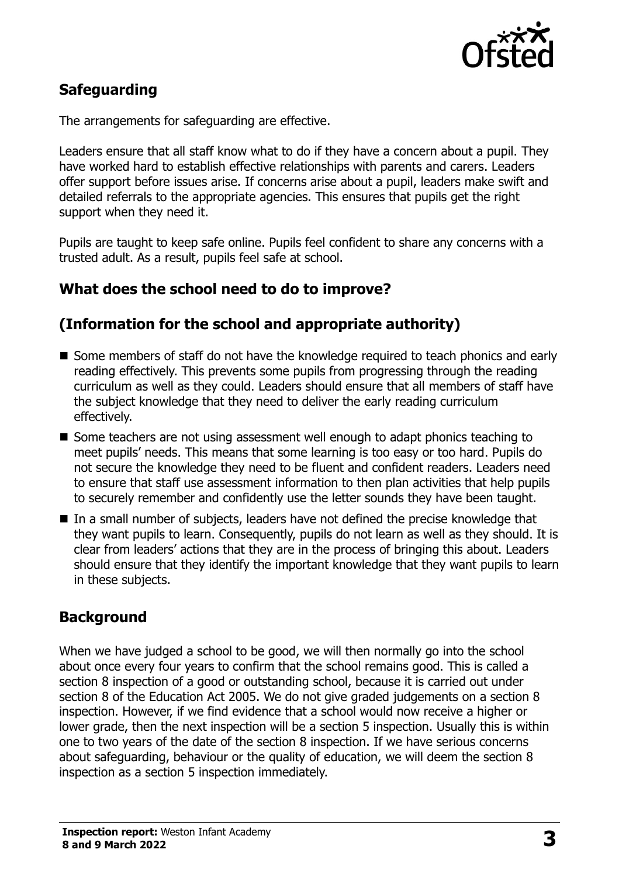

# **Safeguarding**

The arrangements for safeguarding are effective.

Leaders ensure that all staff know what to do if they have a concern about a pupil. They have worked hard to establish effective relationships with parents and carers. Leaders offer support before issues arise. If concerns arise about a pupil, leaders make swift and detailed referrals to the appropriate agencies. This ensures that pupils get the right support when they need it.

Pupils are taught to keep safe online. Pupils feel confident to share any concerns with a trusted adult. As a result, pupils feel safe at school.

# **What does the school need to do to improve?**

### **(Information for the school and appropriate authority)**

- Some members of staff do not have the knowledge required to teach phonics and early reading effectively. This prevents some pupils from progressing through the reading curriculum as well as they could. Leaders should ensure that all members of staff have the subject knowledge that they need to deliver the early reading curriculum effectively.
- Some teachers are not using assessment well enough to adapt phonics teaching to meet pupils' needs. This means that some learning is too easy or too hard. Pupils do not secure the knowledge they need to be fluent and confident readers. Leaders need to ensure that staff use assessment information to then plan activities that help pupils to securely remember and confidently use the letter sounds they have been taught.
- In a small number of subjects, leaders have not defined the precise knowledge that they want pupils to learn. Consequently, pupils do not learn as well as they should. It is clear from leaders' actions that they are in the process of bringing this about. Leaders should ensure that they identify the important knowledge that they want pupils to learn in these subjects.

# **Background**

When we have judged a school to be good, we will then normally go into the school about once every four years to confirm that the school remains good. This is called a section 8 inspection of a good or outstanding school, because it is carried out under section 8 of the Education Act 2005. We do not give graded judgements on a section 8 inspection. However, if we find evidence that a school would now receive a higher or lower grade, then the next inspection will be a section 5 inspection. Usually this is within one to two years of the date of the section 8 inspection. If we have serious concerns about safeguarding, behaviour or the quality of education, we will deem the section 8 inspection as a section 5 inspection immediately.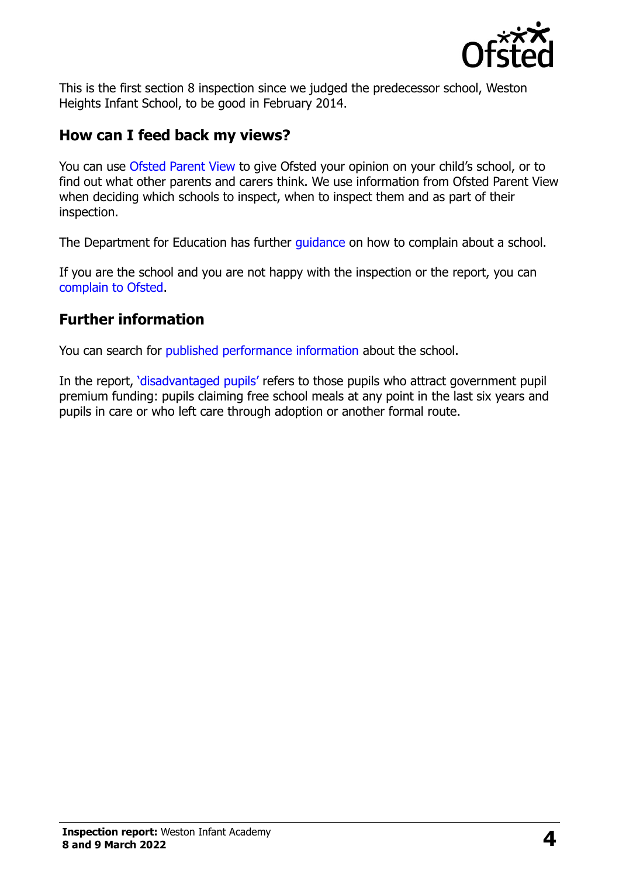

This is the first section 8 inspection since we judged the predecessor school, Weston Heights Infant School, to be good in February 2014.

### **How can I feed back my views?**

You can use [Ofsted Parent View](https://parentview.ofsted.gov.uk/) to give Ofsted your opinion on your child's school, or to find out what other parents and carers think. We use information from Ofsted Parent View when deciding which schools to inspect, when to inspect them and as part of their inspection.

The Department for Education has further quidance on how to complain about a school.

If you are the school and you are not happy with the inspection or the report, you can [complain to Ofsted.](https://www.gov.uk/complain-ofsted-report)

# **Further information**

You can search for [published performance information](http://www.compare-school-performance.service.gov.uk/) about the school.

In the report, '[disadvantaged pupils](http://www.gov.uk/guidance/pupil-premium-information-for-schools-and-alternative-provision-settings)' refers to those pupils who attract government pupil premium funding: pupils claiming free school meals at any point in the last six years and pupils in care or who left care through adoption or another formal route.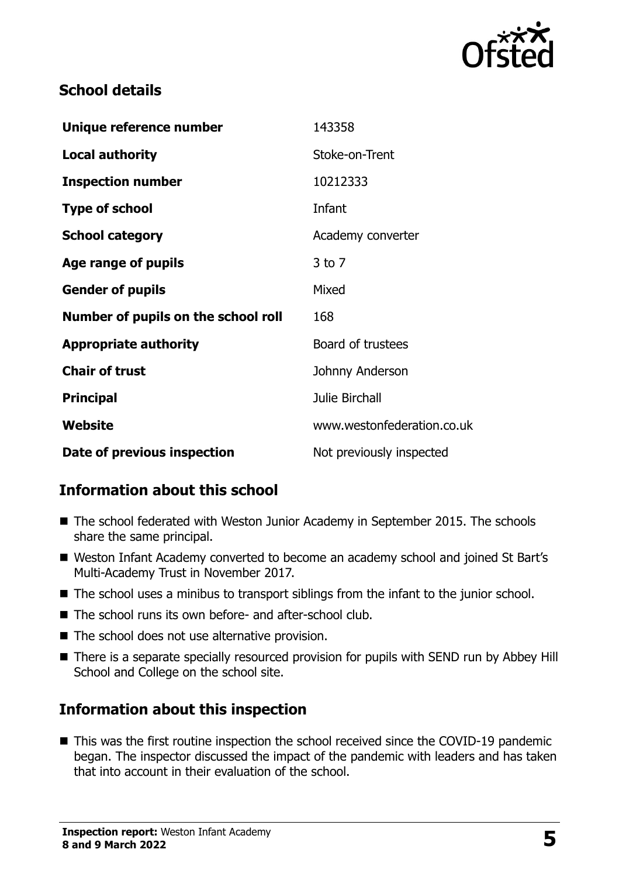

# **School details**

| Unique reference number             | 143358                     |
|-------------------------------------|----------------------------|
| <b>Local authority</b>              | Stoke-on-Trent             |
| <b>Inspection number</b>            | 10212333                   |
| <b>Type of school</b>               | Infant                     |
| <b>School category</b>              | Academy converter          |
| Age range of pupils                 | $3$ to $7$                 |
| <b>Gender of pupils</b>             | Mixed                      |
| Number of pupils on the school roll | 168                        |
| <b>Appropriate authority</b>        | Board of trustees          |
| <b>Chair of trust</b>               | Johnny Anderson            |
| <b>Principal</b>                    | Julie Birchall             |
| Website                             | www.westonfederation.co.uk |
| Date of previous inspection         | Not previously inspected   |

# **Information about this school**

- The school federated with Weston Junior Academy in September 2015. The schools share the same principal.
- Weston Infant Academy converted to become an academy school and joined St Bart's Multi-Academy Trust in November 2017.
- The school uses a minibus to transport siblings from the infant to the junior school.
- The school runs its own before- and after-school club.
- The school does not use alternative provision.
- There is a separate specially resourced provision for pupils with SEND run by Abbey Hill School and College on the school site.

# **Information about this inspection**

■ This was the first routine inspection the school received since the COVID-19 pandemic began. The inspector discussed the impact of the pandemic with leaders and has taken that into account in their evaluation of the school.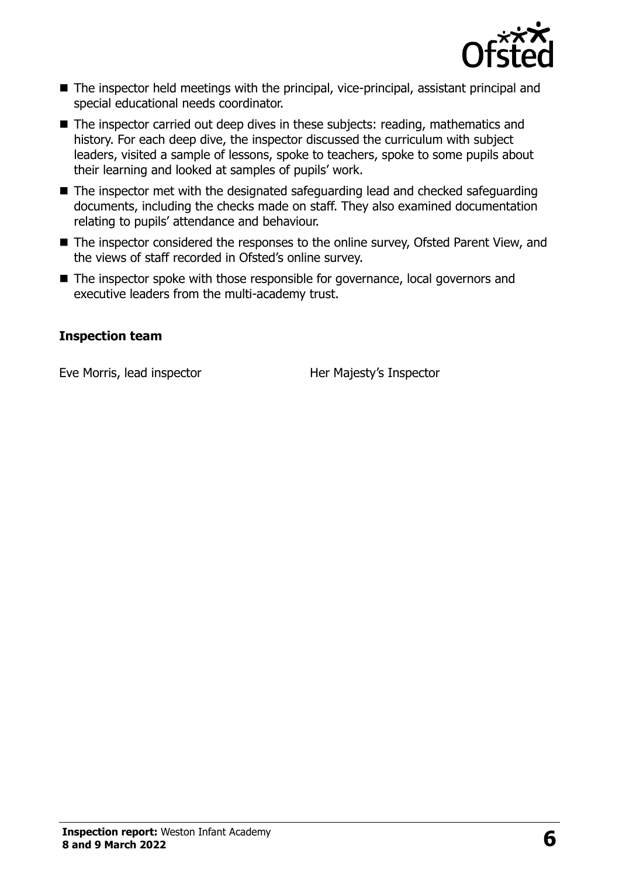

- The inspector held meetings with the principal, vice-principal, assistant principal and special educational needs coordinator.
- The inspector carried out deep dives in these subjects: reading, mathematics and history. For each deep dive, the inspector discussed the curriculum with subject leaders, visited a sample of lessons, spoke to teachers, spoke to some pupils about their learning and looked at samples of pupils' work.
- The inspector met with the designated safeguarding lead and checked safeguarding documents, including the checks made on staff. They also examined documentation relating to pupils' attendance and behaviour.
- The inspector considered the responses to the online survey, Ofsted Parent View, and the views of staff recorded in Ofsted's online survey.
- The inspector spoke with those responsible for governance, local governors and executive leaders from the multi-academy trust.

#### **Inspection team**

Eve Morris, lead inspector **Her Majesty's Inspector**